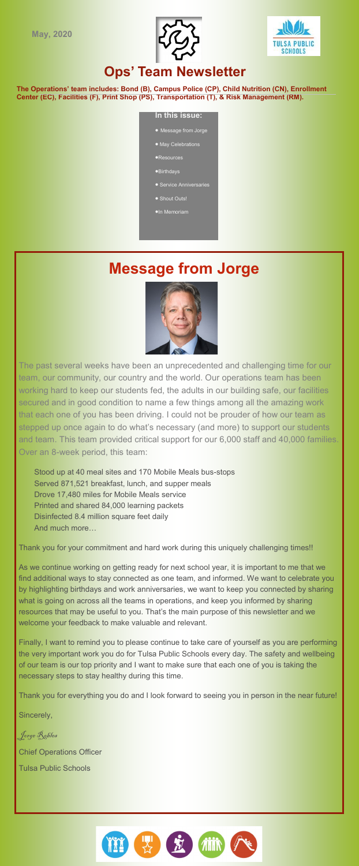



## **Ops' Team Newsletter**

**The Operations' team includes: Bond (B), Campus Police (CP), Child Nutrition (CN), Enrollment Center (EC), Facilities (F), Print Shop (PS), Transportation (T), & Risk Management (RM).**

### **In this issue:**

- Message from Jorge
- · May Celebrations
- Resources
- $\bullet$  Birthdays
- **•** Service Anniversaries
- Shout Outs!
- **In Memoriam**

# **Message from Jorge**



The past several weeks have been an unprecedented and challenging time for our team, our community, our country and the world. Our operations team has been working hard to keep our students fed, the adults in our building safe, our facilities secured and in good condition to name a few things among all the amazing work that each one of you has been driving. I could not be prouder of how our team as stepped up once again to do what's necessary (and more) to support our students and team. This team provided critical support for our 6,000 staff and 40,000 families. Over an 8-week period, this team:

Stood up at 40 meal sites and 170 Mobile Meals bus-stops Served 871,521 breakfast, lunch, and supper meals Drove 17,480 miles for Mobile Meals service Printed and shared 84,000 learning packets Disinfected 8.4 million square feet daily And much more…

Thank you for your commitment and hard work during this uniquely challenging times!!

As we continue working on getting ready for next school year, it is important to me that we find additional ways to stay connected as one team, and informed. We want to celebrate you by highlighting birthdays and work anniversaries, we want to keep you connected by sharing what is going on across all the teams in operations, and keep you informed by sharing resources that may be useful to you. That's the main purpose of this newsletter and we welcome your feedback to make valuable and relevant.

Finally, I want to remind you to please continue to take care of yourself as you are performing the very important work you do for Tulsa Public Schools every day. The safety and wellbeing of our team is our top priority and I want to make sure that each one of you is taking the necessary steps to stay healthy during this time.

Thank you for everything you do and I look forward to seeing you in person in the near future!

Sincerely,

Jorge Robles Chief Operations Officer Tulsa Public Schools

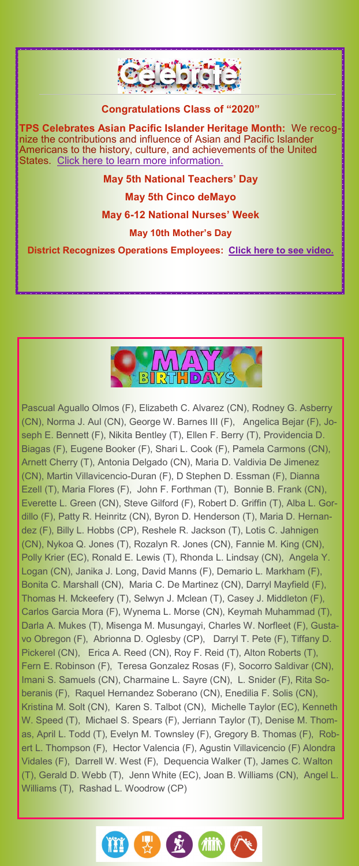



Pascual Aguallo Olmos (F), Elizabeth C. Alvarez (CN), Rodney G. Asberry (CN), Norma J. Aul (CN), George W. Barnes III (F), Angelica Bejar (F), Joseph E. Bennett (F), Nikita Bentley (T), Ellen F. Berry (T), Providencia D. Biagas (F), Eugene Booker (F), Shari L. Cook (F), Pamela Carmons (CN), Arnett Cherry (T), Antonia Delgado (CN), Maria D. Valdivia De Jimenez (CN), Martin Villavicencio-Duran (F), D Stephen D. Essman (F), Dianna Ezell (T), Maria Flores (F), John F. Forthman (T), Bonnie B. Frank (CN), Everette L. Green (CN), Steve Gilford (F), Robert D. Griffin (T), Alba L. Gordillo (F), Patty R. Heinritz (CN), Byron D. Henderson (T), Maria D. Hernandez (F), Billy L. Hobbs (CP), Reshele R. Jackson (T), Lotis C. Jahnigen (CN), Nykoa Q. Jones (T), Rozalyn R. Jones (CN), Fannie M. King (CN), Polly Krier (EC), Ronald E. Lewis (T), Rhonda L. Lindsay (CN), Angela Y. Logan (CN), Janika J. Long, David Manns (F), Demario L. Markham (F), Bonita C. Marshall (CN), Maria C. De Martinez (CN), Darryl Mayfield (F), Thomas H. Mckeefery (T), Selwyn J. Mclean (T), Casey J. Middleton (F), Carlos Garcia Mora (F), Wynema L. Morse (CN), Keymah Muhammad (T), Darla A. Mukes (T), Misenga M. Musungayi, Charles W. Norfleet (F), Gustavo Obregon (F), Abrionna D. Oglesby (CP), Darryl T. Pete (F), Tiffany D. Pickerel (CN), Erica A. Reed (CN), Roy F. Reid (T), Alton Roberts (T), Fern E. Robinson (F), Teresa Gonzalez Rosas (F), Socorro Saldivar (CN), Imani S. Samuels (CN), Charmaine L. Sayre (CN), L. Snider (F), Rita Soberanis (F), Raquel Hernandez Soberano (CN), Enedilia F. Solis (CN), Kristina M. Solt (CN), Karen S. Talbot (CN), Michelle Taylor (EC), Kenneth W. Speed (T), Michael S. Spears (F), Jerriann Taylor (T), Denise M. Thomas, April L. Todd (T), Evelyn M. Townsley (F), Gregory B. Thomas (F), Robert L. Thompson (F), Hector Valencia (F), Agustin Villavicencio (F) Alondra Vidales (F), Darrell W. West (F), Dequencia Walker (T), James C. Walton (T), Gerald D. Webb (T), Jenn White (EC), Joan B. Williams (CN), Angel L. Williams (T), Rashad L. Woodrow (CP)